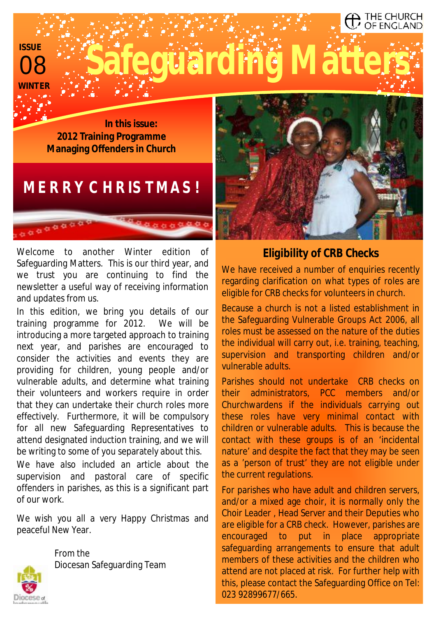08 **ISSU WINTER** 

**Luarding Matt** 

**In this issue: 2012 Training Programme Managing Offenders in Church** 

# *MERRY CHRISTMAS!*

Welcome to another Winter edition of Safeguarding Matters. This is our third year, and we trust you are continuing to find the newsletter a useful way of receiving information and updates from us.

In this edition, we bring you details of our training programme for 2012. We will be introducing a more targeted approach to training next year, and parishes are encouraged to consider the activities and events they are providing for children, young people and/or vulnerable adults, and determine what training their volunteers and workers require in order that they can undertake their church roles more effectively. Furthermore, it will be compulsory for all new Safeguarding Representatives to attend designated induction training, and we will be writing to some of you separately about this.

We have also included an article about the supervision and pastoral care of specific offenders in parishes, as this is a significant part of our work.

We wish you all a very Happy Christmas and peaceful New Year.



From the Diocesan Safeguarding Team



THE CHURCH OF ENGLAND

## *Eligibility of CRB Checks*

We have received a number of enquiries recently regarding clarification on what types of roles are eligible for CRB checks for volunteers in church.

Because a church is not a listed establishment in the Safeguarding Vulnerable Groups Act 2006, all roles must be assessed on the nature of the duties the individual will carry out, i.e. training, teaching, supervision and transporting children and/or vulnerable adults.

Parishes should not undertake CRB checks on their administrators, PCC members and/or Churchwardens if the individuals carrying out these roles have very minimal contact with children or vulnerable adults. This is because the contact with these groups is of an 'incidental nature' and despite the fact that they may be seen as a 'person of trust' they are not eligible under the current regulations.

For parishes who have adult and children servers, and/or a mixed age choir, it is normally only the Choir Leader , Head Server and their Deputies who are eligible for a CRB check. However, parishes are encouraged to put in place appropriate safeguarding arrangements to ensure that adult members of these activities and the children who attend are not placed at risk. For further help with this, please contact the Safeguarding Office on Tel: 023 92899677/665.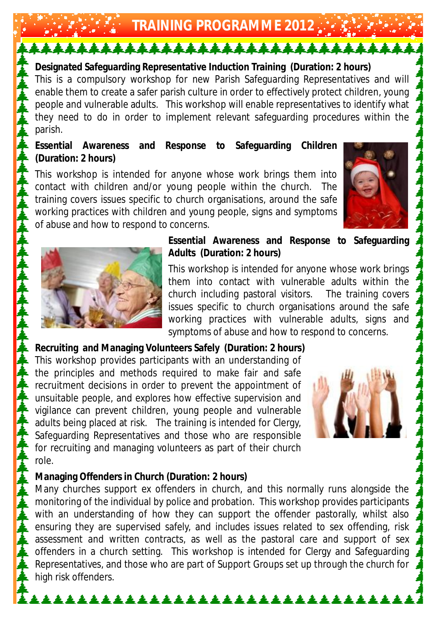**TRAINING PROGRAMME 2012** 

<u>↓↓↓↓↓↓↓↓↓↓↓↓↓↓↓↓↓↓↓↓↓↓↓↓↓↓↓↓↓↓↓↓</u>

**Designated Safeguarding Representative Induction Training (Duration: 2 hours)**  This is a compulsory workshop for new Parish Safeguarding Representatives and will enable them to create a safer parish culture in order to effectively protect children, young people and vulnerable adults. This workshop will enable representatives to identify what they need to do in order to implement relevant safeguarding procedures within the parish.

**Essential Awareness and Response to Safeguarding Children (Duration: 2 hours)** 

This workshop is intended for anyone whose work brings them into contact with children and/or young people within the church. The training covers issues specific to church organisations, around the safe working practices with children and young people, signs and symptoms of abuse and how to respond to concerns.





**Essential Awareness and Response to Safeguarding Adults (Duration: 2 hours)** 

This workshop is intended for anyone whose work brings them into contact with vulnerable adults within the church including pastoral visitors. The training covers issues specific to church organisations around the safe working practices with vulnerable adults, signs and symptoms of abuse and how to respond to concerns.

**Recruiting and Managing Volunteers Safely (Duration: 2 hours)**  This workshop provides participants with an understanding of the principles and methods required to make fair and safe recruitment decisions in order to prevent the appointment of unsuitable people, and explores how effective supervision and vigilance can prevent children, young people and vulnerable adults being placed at risk. The training is intended for Clergy, Safeguarding Representatives and those who are responsible for recruiting and managing volunteers as part of their church role.



**Managing Offenders in Church (Duration: 2 hours)** 

Many churches support ex offenders in church, and this normally runs alongside the monitoring of the individual by police and probation. This workshop provides participants with an understanding of how they can support the offender pastorally, whilst also ensuring they are supervised safely, and includes issues related to sex offending, risk assessment and written contracts, as well as the pastoral care and support of sex offenders in a church setting. This workshop is intended for Clergy and Safeguarding Representatives, and those who are part of Support Groups set up through the church for high risk offenders.

\*\*\*\*\*\*\*\*\*\*\*\*\*\*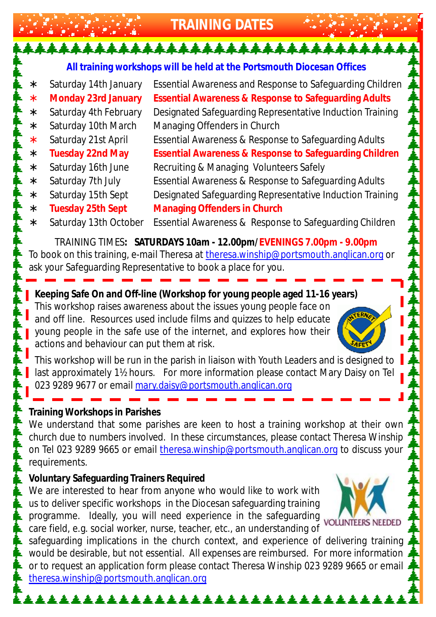**TRAINING DATES** 

**All training workshops will be held at the Portsmouth Diocesan Offices** 

\*\*\*\*\*\*\*\*\*\*\*\*\*\*\*\*\*\*\*\*\*\*\*\*\*\*\*\*\*\*\*

∗ Saturday 14th January Essential Awareness and Response to Safeguarding Children

- ∗ **Monday 23rd January Essential Awareness & Response to Safeguarding Adults**  ∗ Saturday 4th February Designated Safeguarding Representative Induction Training
- ∗ Saturday 10th March Managing Offenders in Church
- ∗ Saturday 21st April Essential Awareness & Response to Safeguarding Adults
- ∗ **Tuesday 22nd May Essential Awareness & Response to Safeguarding Children**
- ∗ Saturday 16th June Recruiting & Managing Volunteers Safely
- ∗ Saturday 7th July Essential Awareness & Response to Safeguarding Adults
- 
- 
- ∗ Saturday 15th Sept Designated Safeguarding Representative Induction Training ∗ **Tuesday 25th Sept Managing Offenders in Church**
- ∗ Saturday 13th October Essential Awareness & Response to Safeguarding Children

TRAINING TIMES**: SATURDAYS 10am - 12.00pm/EVENINGS 7.00pm - 9.00pm** To book on this training, e-mail Theresa at [theresa.winship@portsmouth.anglican.org](mailto:theresa.winship@portsmouth.anglican.org) or ask your Safeguarding Representative to book a place for you.

**Keeping Safe On and Off-line (Workshop for young people aged 11-16 years)**  This workshop raises awareness about the issues young people face on and off line. Resources used include films and quizzes to help educate young people in the safe use of the internet, and explores how their actions and behaviour can put them at risk.



This workshop will be run in the parish in liaison with Youth Leaders and is designed to last approximately 1½ hours. For more information please contact Mary Daisy on Tel 023 9289 9677 or email [mary.daisy@portsmouth.anglican.org](mailto:mary.daisy@portsmouth.anglican.org)

#### **Training Workshops in Parishes**

We understand that some parishes are keen to host a training workshop at their own church due to numbers involved. In these circumstances, please contact Theresa Winship on Tel 023 9289 9665 or email [theresa.winship@portsmouth.anglican.org](mailto:theresa.winship@portsmouth.anglican.org) to discuss your requirements.

**Voluntary Safeguarding Trainers Required** 

We are interested to hear from anyone who would like to work with us to deliver specific workshops in the Diocesan safeguarding training programme. Ideally, you will need experience in the safeguarding care field, e.g. social worker, nurse, teacher, etc., an understanding of



<u> 22222.</u>

safeguarding implications in the church context, and experience of delivering training would be desirable, but not essential. All expenses are reimbursed. For more information or to request an application form please contact Theresa Winship 023 9289 9665 or email [theresa.winship@portsmouth.anglican.org](mailto:theresa.winship@portsmouth.anglican.org)

\*\*\*\*\*\*